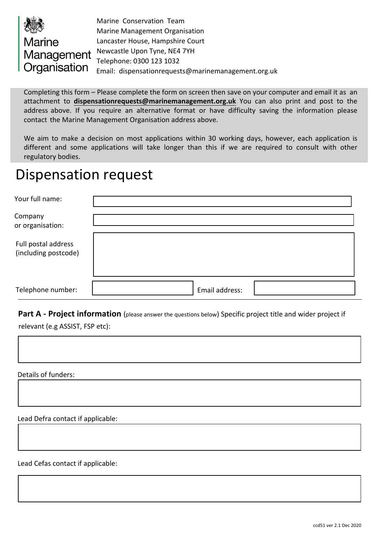

Marine Conservation Team Marine Management Organisation Lancaster House, Hampshire Court Newcastle Upon Tyne, NE4 7YH Telephone: 0300 123 1032 Email: [dispensationrequests@marinemanagement.org.uk](mailto://dispensationrequests@marinemanagement.org.uk) 

Completing this form – Please complete the form on screen then save on your computer and email it as an attachment to **[dispensationrequests@marinemanagement.org.uk](mailto://dispensationrequests@marinemanagement.org.uk)** You can also print and post to the address above. If you require an alternative format or have difficulty saving the information please contact the Marine Management Organisation address above.

We aim to make a decision on most applications within 30 working days, however, each application is different and some applications will take longer than this if we are required to consult with other regulatory bodies.

# Dispensation request

| Your full name:                             |                |  |
|---------------------------------------------|----------------|--|
| Company<br>or organisation:                 |                |  |
| Full postal address<br>(including postcode) |                |  |
| Telephone number:                           | Email address: |  |

**Part A - Project information** (please answer the questions below) Specific project title and wider project if relevant (e.g ASSIST, FSP etc):

Details of funders:

Lead Defra contact if applicable:

Lead Cefas contact if applicable: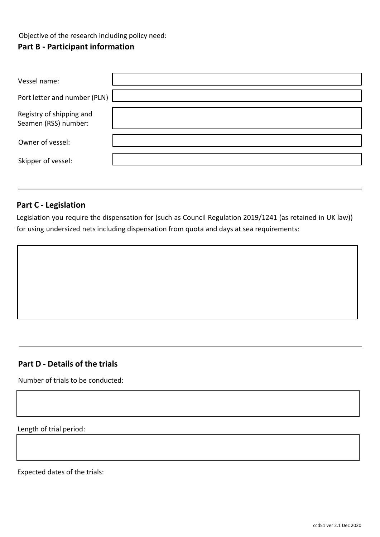Objective of the research including policy need:

### **Part B - Participant information**

| Vessel name:                                     |  |
|--------------------------------------------------|--|
| Port letter and number (PLN)                     |  |
| Registry of shipping and<br>Seamen (RSS) number: |  |
| Owner of vessel:                                 |  |
| Skipper of vessel:                               |  |

#### **Part C - Legislation**

Legislation you require the dispensation for (such as Council Regulation 2019/1241 (as retained in UK law)) for using undersized nets including dispensation from quota and days at sea requirements:

#### **Part D - Details of the trials**

Number of trials to be conducted:

Length of trial period:

Expected dates of the trials: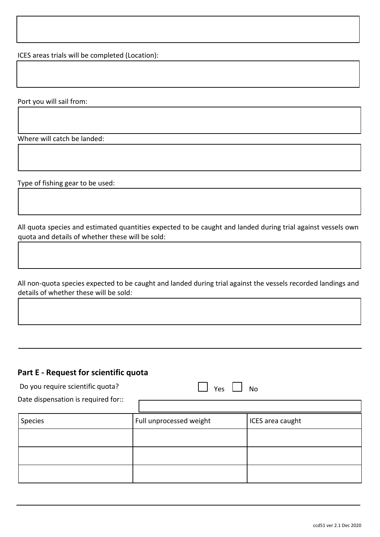ICES areas trials will be completed (Location):

Port you will sail from:

Where will catch be landed:

Type of fishing gear to be used:

All quota species and estimated quantities expected to be caught and landed during trial against vessels own quota and details of whether these will be sold:

All non-quota species expected to be caught and landed during trial against the vessels recorded landings and details of whether these will be sold:

#### **Part E - Request for scientific quota**

| Do you require scientific quota?<br>Date dispensation is required for:: | No<br>Yes               |                  |  |
|-------------------------------------------------------------------------|-------------------------|------------------|--|
|                                                                         |                         |                  |  |
| Species                                                                 | Full unprocessed weight | ICES area caught |  |
|                                                                         |                         |                  |  |
|                                                                         |                         |                  |  |
|                                                                         |                         |                  |  |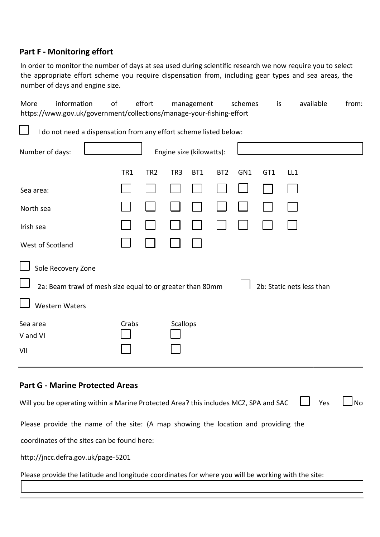#### **Part F - Monitoring effort**

In order to monitor the number of days at sea used during scientific research we now require you to select the appropriate effort scheme you require dispensation from, including gear types and sea areas, the number of days and engine size.

More information of effort management schemes is available from: https://www.gov.uk/government/collections/manage-your-fishing-effort I do not need a dispensation from any effort scheme listed below: Number of days:  $\Box$  Engine size (kilowatts): TR1 TR2 TR3 BT1 BT2 GN1 GT1 LL1  $\mathbb{R}^n$  $\sim$ Sea area: North sea Irish sea West of Scotland Sole Recovery Zone 2a: Beam trawl of mesh size equal to or greater than 80mm  $\Box$  2b: Static nets less than Western Waters Sea area **Sea area** Crabs Scallops

#### **Part G - Marine Protected Areas**

V and VI

VII

| Will you be operating within a Marine Protected Area? this includes MCZ, SPA and SAC $\Box$ Yes | $\Box$ No |
|-------------------------------------------------------------------------------------------------|-----------|
| Please provide the name of the site: (A map showing the location and providing the              |           |
| coordinates of the sites can be found here:                                                     |           |
| http://jncc.defra.gov.uk/page-5201                                                              |           |
|                                                                                                 |           |

Please provide the latitude and longitude coordinates for where you will be working with the site: